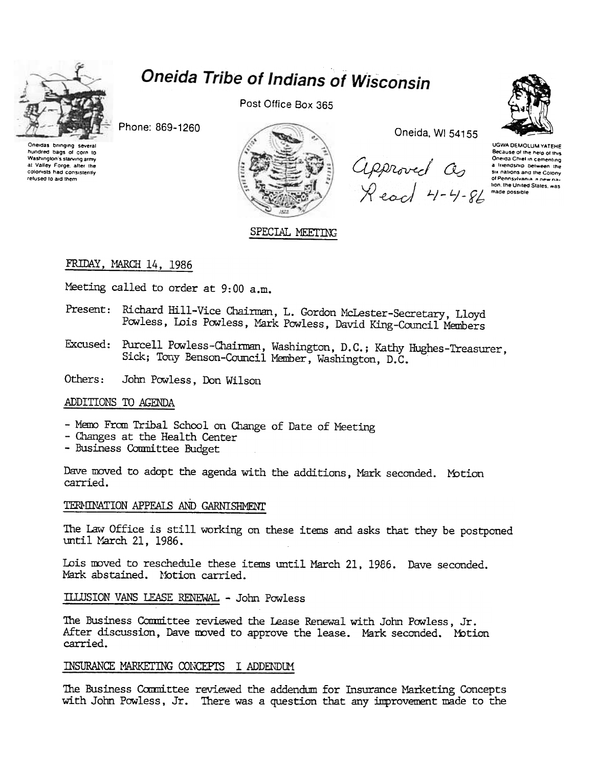

hundred bags of corn to

Washington's starving army

at Valley Forge, after the<br>colonists had consistently

refused to aid them

# **Oneida Tribe of Indians of Wisconsin**

Post Office Box 365

Phone: 869-1260



SPECIAL MEETING

Oneida, WI 54155

Approved as<br>Read 4-4-86



**UGWA DEMOLUM YATEHE** Because of the help of this Oneida Chief in cementing a triendship between the six nations and the Colony of Pennsylvania, a new nation, the United States, was made possible

# FRIDAY, MARCH 14, 1986

Meeting called to order at 9:00 a.m.

- Present: Richard Hill-Vice Chairman, L. Gordon McLester-Secretary, Lloyd Powless, Lois Powless, Mark Powless, David King-Council Members
- Excused: Purcell Powless-Chairman, Washington, D.C.; Kathy Hughes-Treasurer, Sick; Tony Benson-Council Member, Washington, D.C.

Others: John Powless, Don Wilson

## ADDITIONS TO AGENDA

- Memo From Tribal School on Change of Date of Meeting
- Changes at the Health Center
- Business Committee Budget

Dave moved to adopt the agenda with the additions, Mark seconded. Motion carried.

# TERMINATION APPEALS AND GARNISHMENT

The Law Office is still working on these items and asks that they be postponed until March 21, 1986.

Lois moved to reschedule these items until March 21, 1986. Dave seconded. Mark abstained. Motion carried.

ILLUSION VANS LEASE RENEWAL - John Powless

The Business Committee reviewed the Lease Renewal with John Powless, Jr. After discussion, Dave moved to approve the lease. Mark seconded. Motion carried.

## INSURANCE MARKETING CONCEPTS I ADDENDUM

The Business Committee reviewed the addendum for Insurance Marketing Concepts with John Powless, Jr. There was a question that any improvement made to the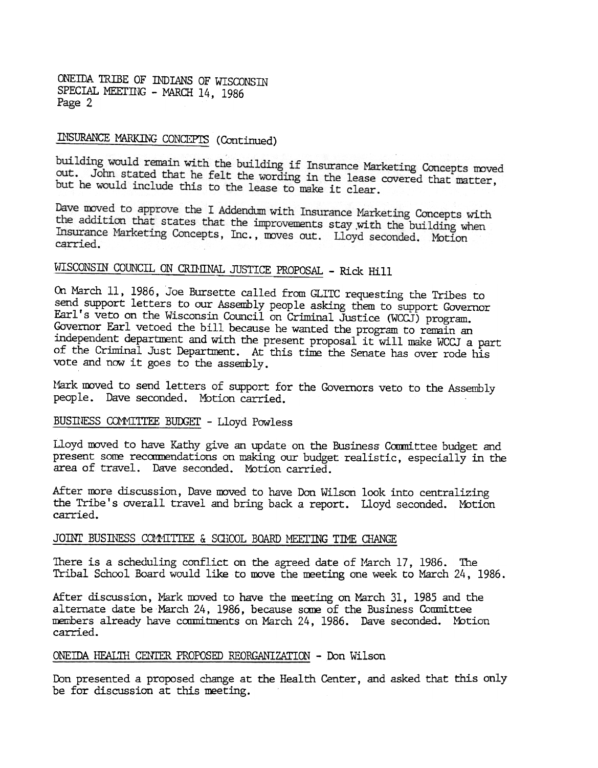ONEIDA TRIBE OF INDIANS OF WISCONSIN SPECIAL MEETING - MARCH 14, 1986 Page 2

# INSURANCE MARKING CONCEPTS (Continued)

building would remain with the building if Insurance Marketing Concepts moved out. John stated that he felt the wording in the lease covered that matter, but he would include this to the lease to make it clear.

Dave moved to approve the I Addendum with Insurance Marketing Concepts with the addition that states that the improvements stay with the building when Insurance Marketing Concepts, Inc., moves out. Lloyd seconded. Motion carried.

#### WISCONSIN COUNCIL ON CRIMINAL JUSTICE PROPOSAL - Rick Hi

On March 11, 1986, Joe Bursette called from GLITC requesting the Tribes to send support letters to our Assembly people asking them to support Governor furl's veto on the Wisconsin Council on Criminal Justice (WCCJ) program. Governor Earl vetoed the bill because he wanted the program to remain an independent department and with the present proposal it will make WCCJ a part of the Criminal Just Department. At this time the Senate has over rode his vote and now it goes to the assembly.

Mark moved to send letters of support for the Governors veto to the Assembly people. Dave seconded. Motion carried.

## BUSINESS COMMITTEE BUDGET - Lloyd Powless

Lloyd moved to have Kathy give an update on the Business Committee budget and present some recommendations on making our budget realistic, especially in the area of travel. Dave seconded. Motion carried.

After more discussion, Dave moved to have Don Wilson look into centralizing the Tribe's overall travel and bring back a report. Uoyd seconded. Motion carried.

#### JOINT BUSINESS COMMITTEE & SCHOOL BOARD MEETING TIME CHANGE

There is a scheduling conflict on the agreed date of March  $17$ ,  $1986$ . The Tribal School Board would like to move the meeting one week to March 24, 1986.

After discussion, Mark moved to have the meeting on March 31, 1985 and the alternate date be March 24, 1986, because same of the Business Committee members already have commitments on March 24, 1986. Dave seconded. Motion carried.

#### ONEIDA HFALTH CENTER PROPOSED REORGANIZATION - Don Wilson

Don presented a proposed change at the Health Center, and asked that this only be for discussion at this meeting.